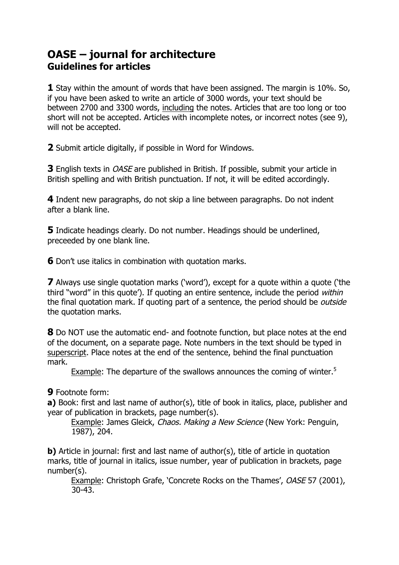## **OASE – journal for architecture Guidelines for articles**

**1** Stay within the amount of words that have been assigned. The margin is 10%. So, if you have been asked to write an article of 3000 words, your text should be between 2700 and 3300 words, including the notes. Articles that are too long or too short will not be accepted. Articles with incomplete notes, or incorrect notes (see 9), will not be accepted.

**2** Submit article digitally, if possible in Word for Windows.

**3** English texts in OASE are published in British. If possible, submit your article in British spelling and with British punctuation. If not, it will be edited accordingly.

**4** Indent new paragraphs, do not skip a line between paragraphs. Do not indent after a blank line.

**5** Indicate headings clearly. Do not number. Headings should be underlined, preceeded by one blank line.

**6** Don't use italics in combination with quotation marks.

**7** Always use single quotation marks ('word'), except for a quote within a quote ('the third "word" in this quote'). If quoting an entire sentence, include the period within the final quotation mark. If quoting part of a sentence, the period should be *outside* the quotation marks.

**8** Do NOT use the automatic end- and footnote function, but place notes at the end of the document, on a separate page. Note numbers in the text should be typed in superscript. Place notes at the end of the sentence, behind the final punctuation mark.

Example: The departure of the swallows announces the coming of winter.<sup>5</sup>

## **9** Footnote form:

**a)** Book: first and last name of author(s), title of book in italics, place, publisher and year of publication in brackets, page number(s).

Example: James Gleick, Chaos. Making a New Science (New York: Penguin, 1987), 204.

**b)** Article in journal: first and last name of author(s), title of article in quotation marks, title of journal in italics, issue number, year of publication in brackets, page number(s).

Example: Christoph Grafe, 'Concrete Rocks on the Thames', OASE 57 (2001), 30-43.